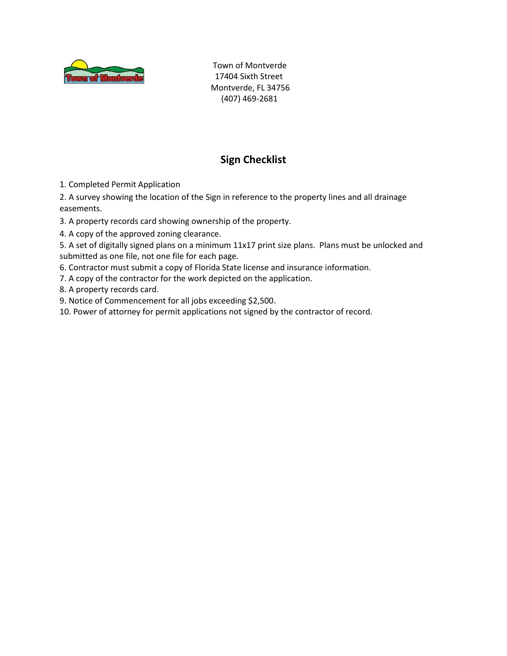

Town of Montverde 17404 Sixth Street Montverde, FL 34756 (407) 469-2681

## **Sign Checklist**

1. Completed Permit Application

2. A survey showing the location of the Sign in reference to the property lines and all drainage easements.

3. A property records card showing ownership of the property.

4. A copy of the approved zoning clearance.

5. A set of digitally signed plans on a minimum 11x17 print size plans. Plans must be unlocked and submitted as one file, not one file for each page.

6. Contractor must submit a copy of Florida State license and insurance information.

7. A copy of the contractor for the work depicted on the application.

8. A property records card.

9. Notice of Commencement for all jobs exceeding \$2,500.

10. Power of attorney for permit applications not signed by the contractor of record.